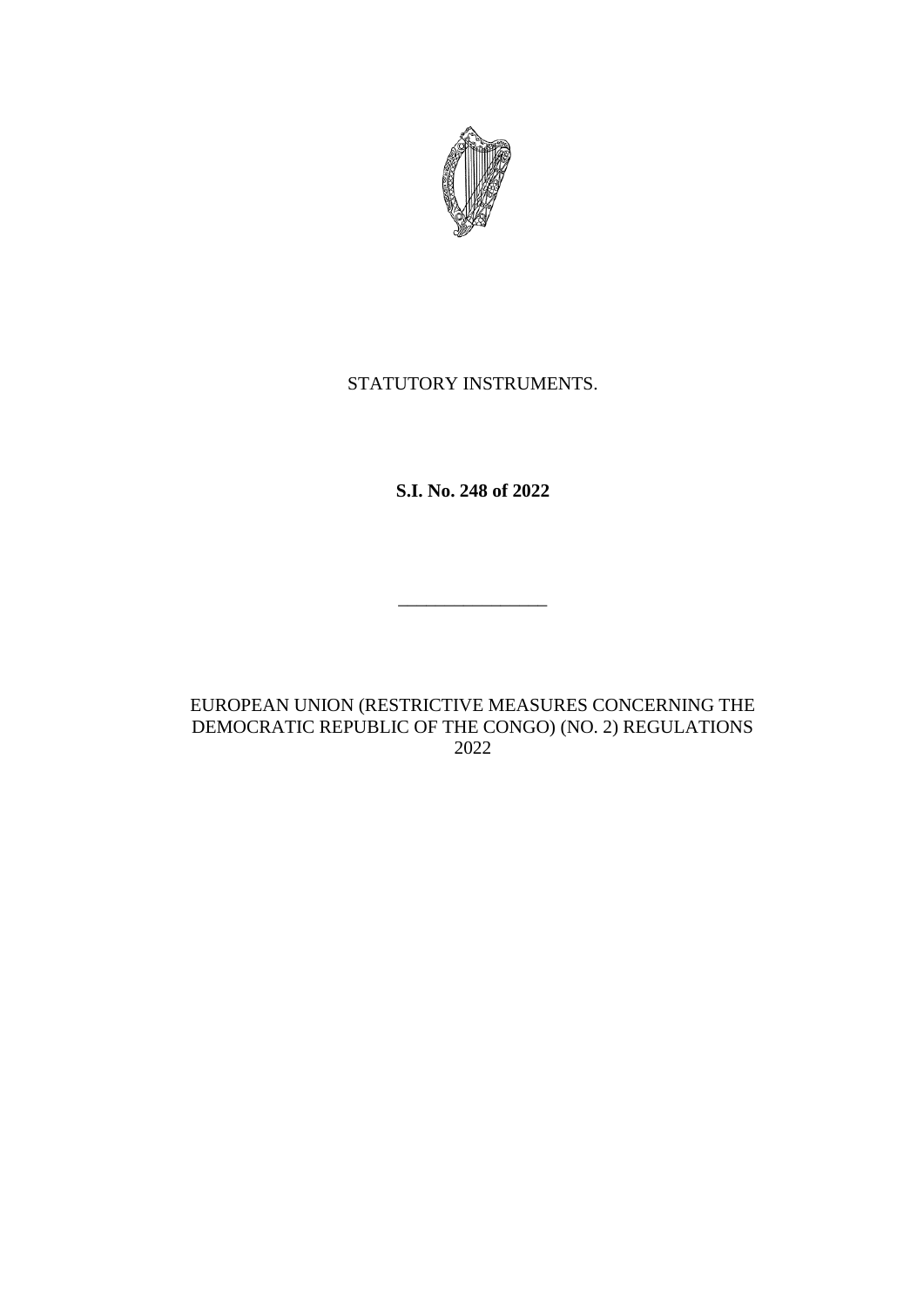

### STATUTORY INSTRUMENTS.

**S.I. No. 248 of 2022**

EUROPEAN UNION (RESTRICTIVE MEASURES CONCERNING THE DEMOCRATIC REPUBLIC OF THE CONGO) (NO. 2) REGULATIONS 2022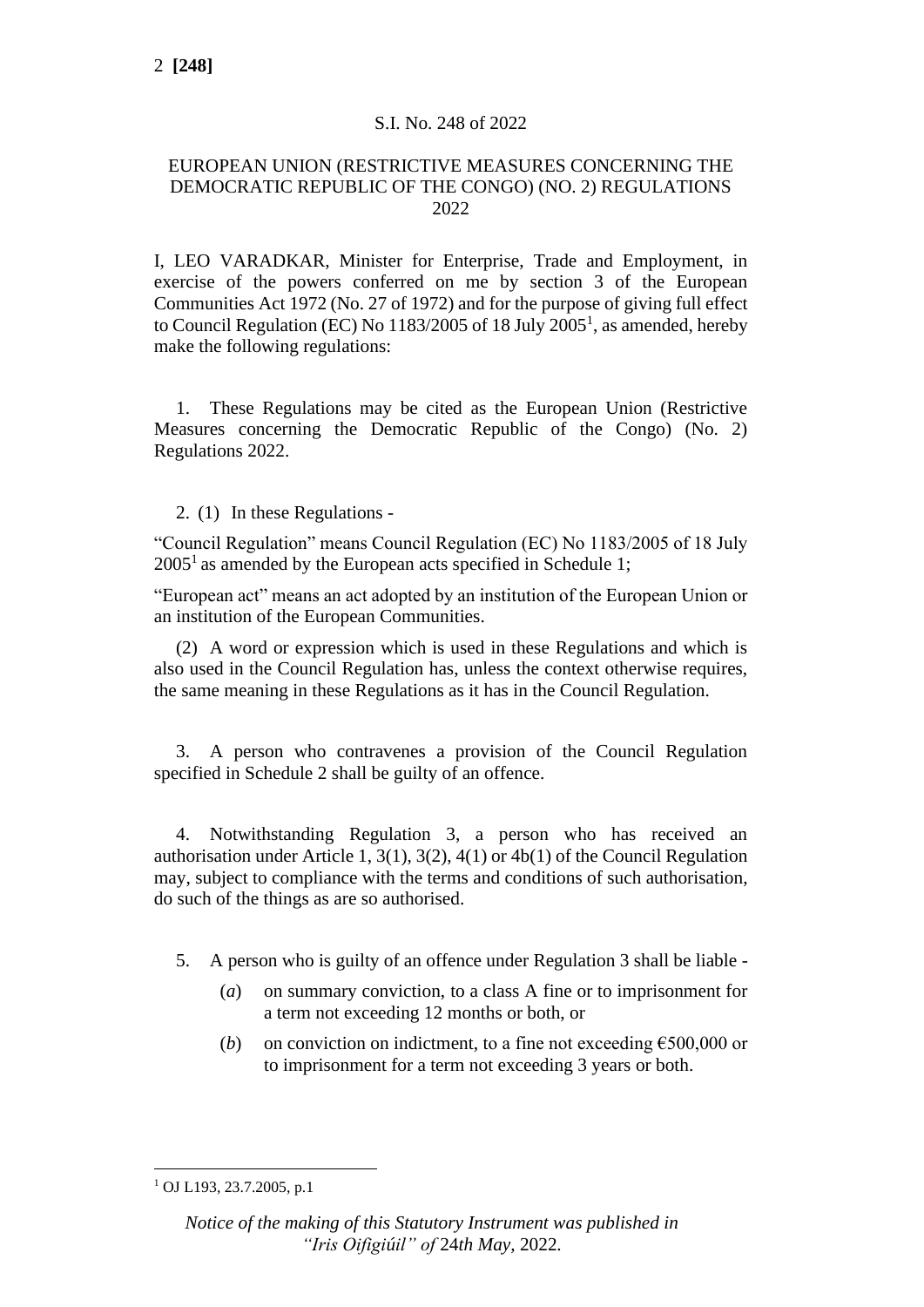#### S.I. No. 248 of 2022

#### EUROPEAN UNION (RESTRICTIVE MEASURES CONCERNING THE DEMOCRATIC REPUBLIC OF THE CONGO) (NO. 2) REGULATIONS 2022

I, LEO VARADKAR, Minister for Enterprise, Trade and Employment, in exercise of the powers conferred on me by section 3 of the European Communities Act 1972 (No. 27 of 1972) and for the purpose of giving full effect to Council Regulation (EC) No  $1183/2005$  of 18 July  $2005<sup>1</sup>$ , as amended, hereby make the following regulations:

1. These Regulations may be cited as the European Union (Restrictive Measures concerning the Democratic Republic of the Congo) (No. 2) Regulations 2022.

2. (1) In these Regulations -

"Council Regulation" means Council Regulation (EC) No 1183/2005 of 18 July  $2005<sup>1</sup>$  as amended by the European acts specified in Schedule 1;

"European act" means an act adopted by an institution of the European Union or an institution of the European Communities.

(2) A word or expression which is used in these Regulations and which is also used in the Council Regulation has, unless the context otherwise requires, the same meaning in these Regulations as it has in the Council Regulation.

3. A person who contravenes a provision of the Council Regulation specified in Schedule 2 shall be guilty of an offence.

4. Notwithstanding Regulation 3, a person who has received an authorisation under Article 1, 3(1), 3(2), 4(1) or 4b(1) of the Council Regulation may, subject to compliance with the terms and conditions of such authorisation, do such of the things as are so authorised.

5. A person who is guilty of an offence under Regulation 3 shall be liable -

- (*a*) on summary conviction, to a class A fine or to imprisonment for a term not exceeding 12 months or both, or
- (*b*) on conviction on indictment, to a fine not exceeding  $\epsilon$ 500,000 or to imprisonment for a term not exceeding 3 years or both.

<sup>1</sup> OJ L193, 23.7.2005, p.1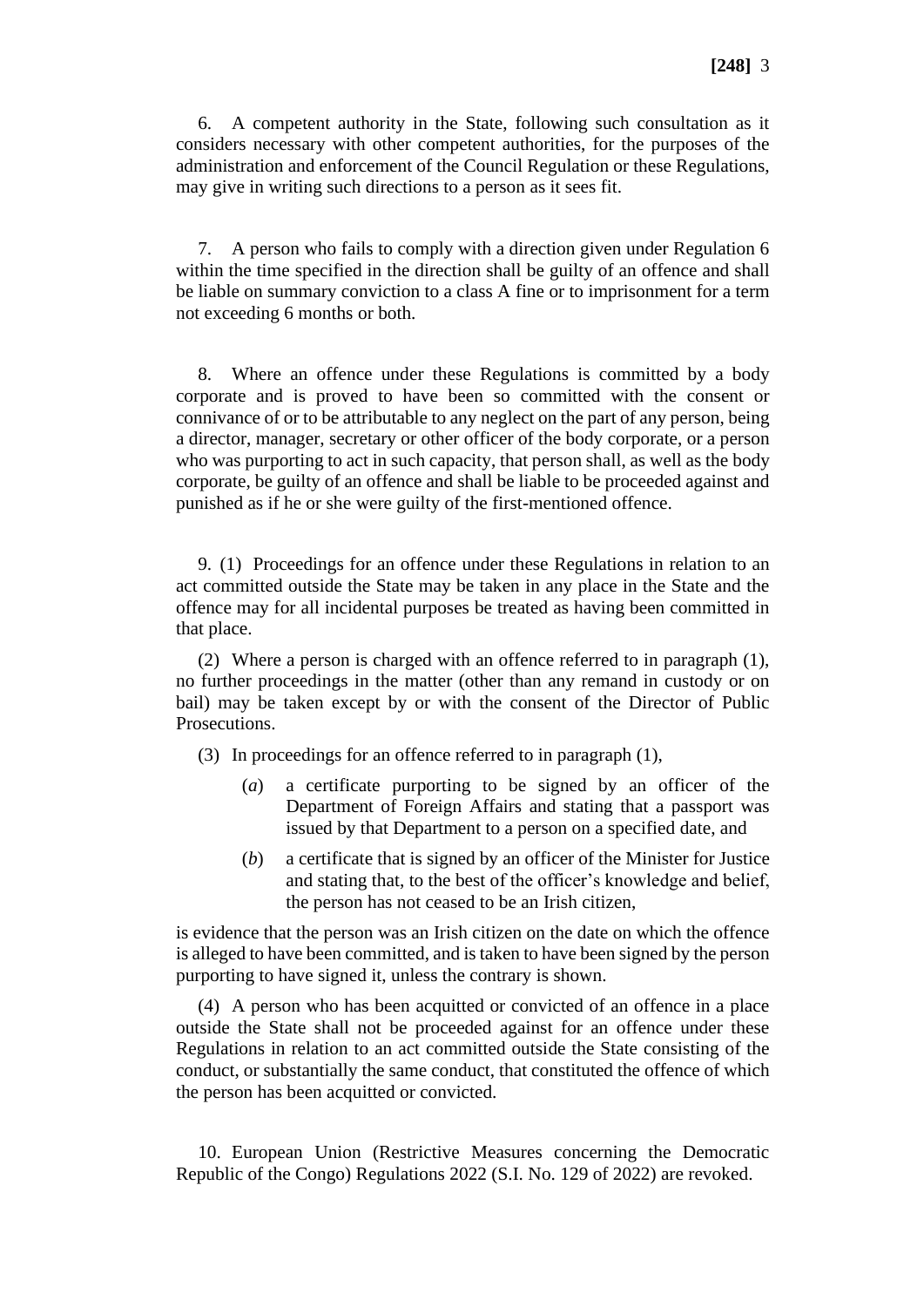6. A competent authority in the State, following such consultation as it considers necessary with other competent authorities, for the purposes of the administration and enforcement of the Council Regulation or these Regulations, may give in writing such directions to a person as it sees fit.

7. A person who fails to comply with a direction given under Regulation 6 within the time specified in the direction shall be guilty of an offence and shall be liable on summary conviction to a class A fine or to imprisonment for a term not exceeding 6 months or both.

8. Where an offence under these Regulations is committed by a body corporate and is proved to have been so committed with the consent or connivance of or to be attributable to any neglect on the part of any person, being a director, manager, secretary or other officer of the body corporate, or a person who was purporting to act in such capacity, that person shall, as well as the body corporate, be guilty of an offence and shall be liable to be proceeded against and punished as if he or she were guilty of the first-mentioned offence.

9. (1) Proceedings for an offence under these Regulations in relation to an act committed outside the State may be taken in any place in the State and the offence may for all incidental purposes be treated as having been committed in that place.

(2) Where a person is charged with an offence referred to in paragraph (1), no further proceedings in the matter (other than any remand in custody or on bail) may be taken except by or with the consent of the Director of Public Prosecutions.

(3) In proceedings for an offence referred to in paragraph (1),

- (*a*) a certificate purporting to be signed by an officer of the Department of Foreign Affairs and stating that a passport was issued by that Department to a person on a specified date, and
- (*b*) a certificate that is signed by an officer of the Minister for Justice and stating that, to the best of the officer's knowledge and belief, the person has not ceased to be an Irish citizen,

is evidence that the person was an Irish citizen on the date on which the offence is alleged to have been committed, and is taken to have been signed by the person purporting to have signed it, unless the contrary is shown.

(4) A person who has been acquitted or convicted of an offence in a place outside the State shall not be proceeded against for an offence under these Regulations in relation to an act committed outside the State consisting of the conduct, or substantially the same conduct, that constituted the offence of which the person has been acquitted or convicted.

10. European Union (Restrictive Measures concerning the Democratic Republic of the Congo) Regulations 2022 (S.I. No. 129 of 2022) are revoked.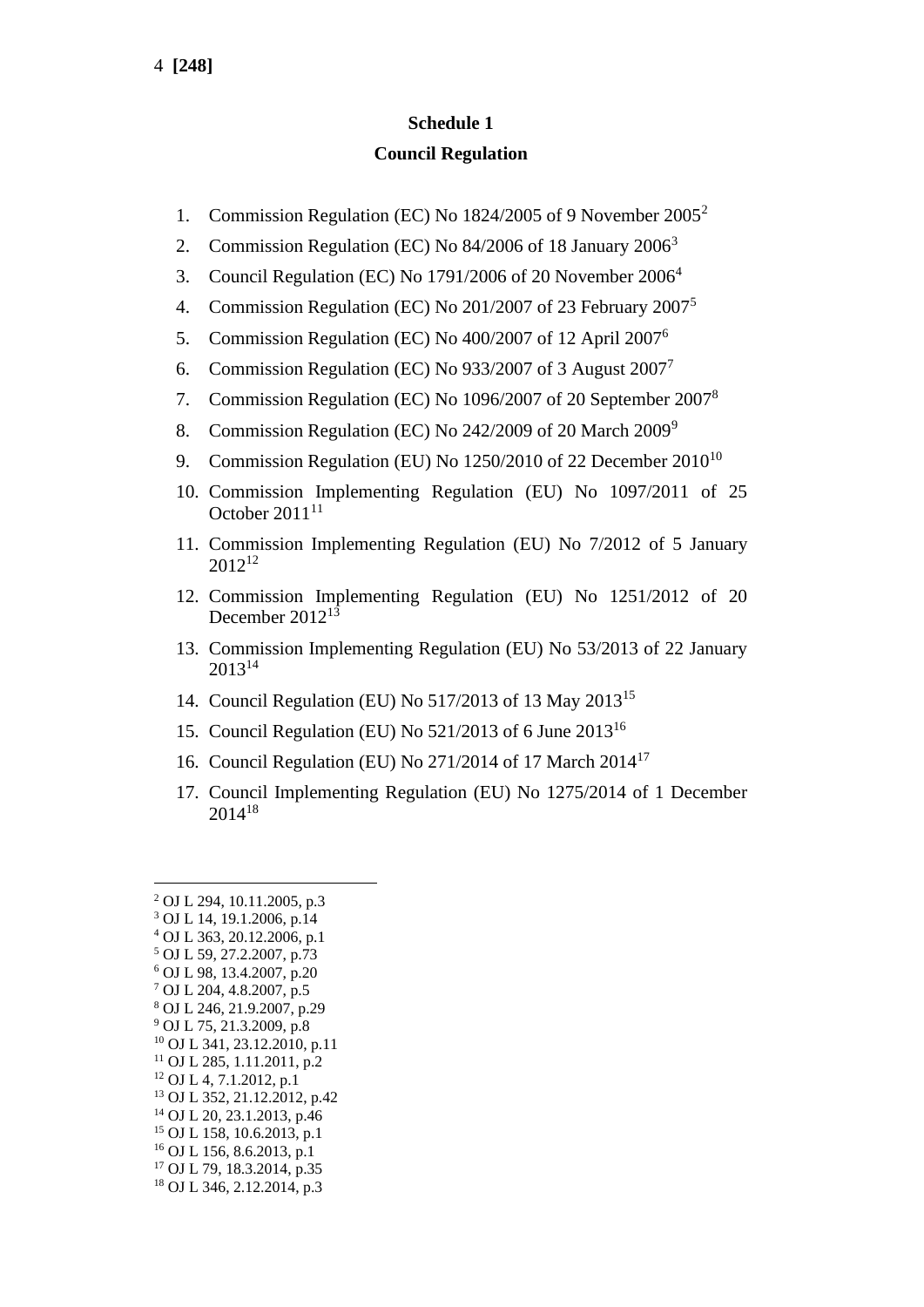## **Schedule 1 Council Regulation**

- 1. Commission Regulation (EC) No 1824/2005 of 9 November 2005<sup>2</sup>
- 2. Commission Regulation (EC) No 84/2006 of 18 January 2006<sup>3</sup>
- 3. Council Regulation (EC) No 1791/2006 of 20 November 2006<sup>4</sup>
- 4. Commission Regulation (EC) No 201/2007 of 23 February 2007<sup>5</sup>
- 5. Commission Regulation (EC) No 400/2007 of 12 April 2007<sup>6</sup>
- 6. Commission Regulation (EC) No 933/2007 of 3 August  $2007<sup>7</sup>$
- 7. Commission Regulation (EC) No 1096/2007 of 20 September 2007<sup>8</sup>
- 8. Commission Regulation (EC) No 242/2009 of 20 March 2009<sup>9</sup>
- 9. Commission Regulation (EU) No  $1250/2010$  of 22 December  $2010^{10}$
- 10. Commission Implementing Regulation (EU) No 1097/2011 of 25 October  $2011^{11}$
- 11. Commission Implementing Regulation (EU) No 7/2012 of 5 January 2012<sup>12</sup>
- 12. Commission Implementing Regulation (EU) No 1251/2012 of 20 December 2012<sup>13</sup>
- 13. Commission Implementing Regulation (EU) No 53/2013 of 22 January 2013<sup>14</sup>
- 14. Council Regulation (EU) No 517/2013 of 13 May 2013<sup>15</sup>
- 15. Council Regulation (EU) No 521/2013 of 6 June 2013<sup>16</sup>
- 16. Council Regulation (EU) No 271/2014 of 17 March 2014<sup>17</sup>
- 17. Council Implementing Regulation (EU) No 1275/2014 of 1 December 2014<sup>18</sup>

<sup>18</sup> OJ L 346, 2.12.2014, p.3

<sup>2</sup> OJ L 294, 10.11.2005, p.3

<sup>3</sup> OJ L 14, 19.1.2006, p.14

<sup>4</sup> OJ L 363, 20.12.2006, p.1

<sup>5</sup> OJ L 59, 27.2.2007, p.73

<sup>6</sup> OJ L 98, 13.4.2007, p.20

<sup>7</sup> OJ L 204, 4.8.2007, p.5

<sup>8</sup> OJ L 246, 21.9.2007, p.29 <sup>9</sup> OJ L 75, 21.3.2009, p.8

<sup>10</sup> OJ L 341, 23.12.2010, p.11

 $11$  OJ L 285, 1.11.2011, p.2

<sup>12</sup> OJ L 4, 7.1.2012, p.1

<sup>13</sup> OJ L 352, 21.12.2012, p.42

<sup>14</sup> OJ L 20, 23.1.2013, p.46

<sup>15</sup> OJ L 158, 10.6.2013, p.1

<sup>16</sup> OJ L 156, 8.6.2013, p.1

<sup>&</sup>lt;sup>17</sup> OJ L 79, 18.3.2014, p.35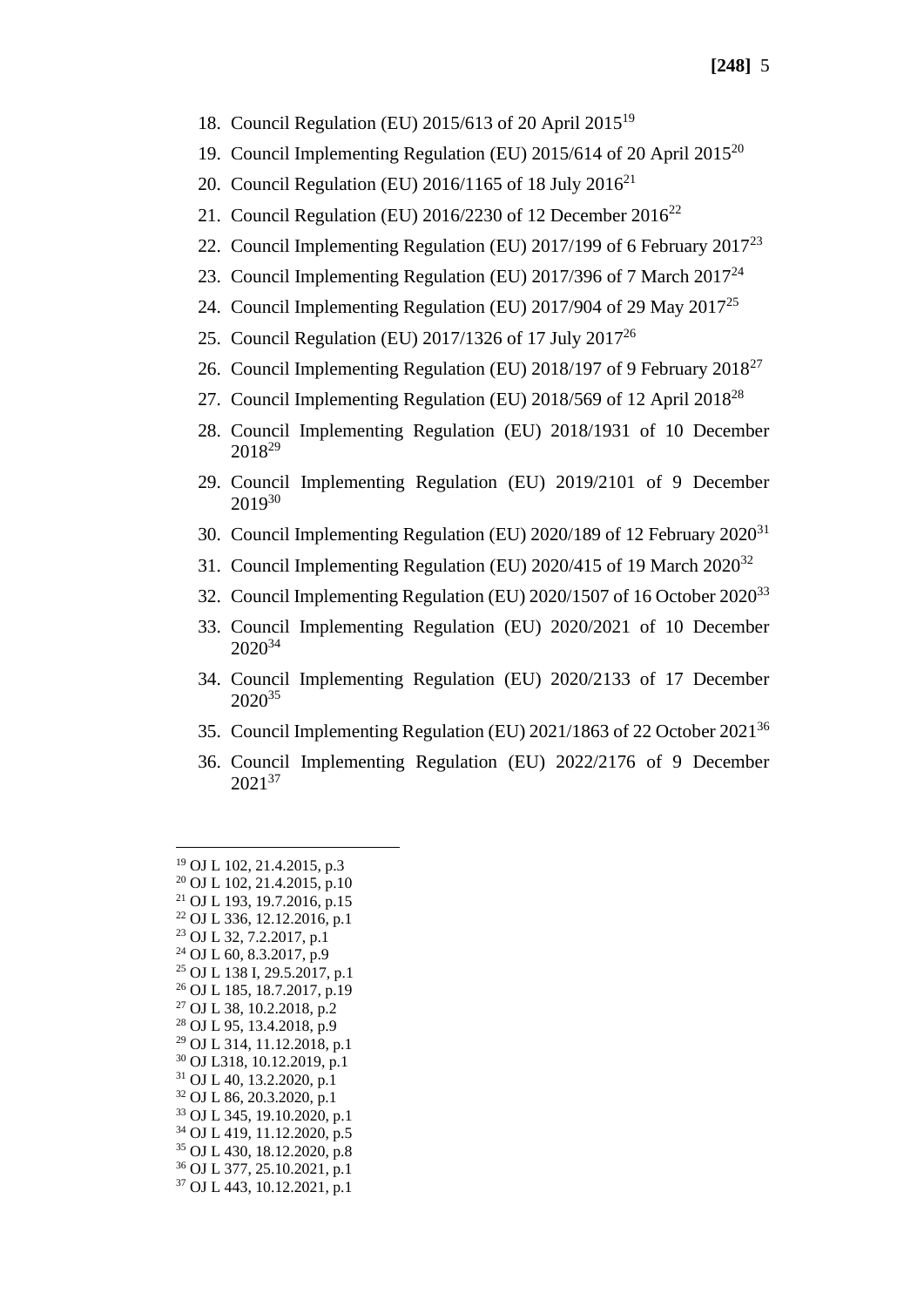- 18. Council Regulation (EU) 2015/613 of 20 April 2015<sup>19</sup>
- 19. Council Implementing Regulation (EU) 2015/614 of 20 April 2015<sup>20</sup>
- 20. Council Regulation (EU) 2016/1165 of 18 July  $2016^{21}$
- 21. Council Regulation (EU) 2016/2230 of 12 December 2016<sup>22</sup>
- 22. Council Implementing Regulation (EU) 2017/199 of 6 February 2017<sup>23</sup>
- 23. Council Implementing Regulation (EU) 2017/396 of 7 March 2017<sup>24</sup>
- 24. Council Implementing Regulation (EU) 2017/904 of 29 May 2017<sup>25</sup>
- 25. Council Regulation (EU) 2017/1326 of 17 July 2017<sup>26</sup>
- 26. Council Implementing Regulation (EU) 2018/197 of 9 February 2018<sup>27</sup>
- 27. Council Implementing Regulation (EU) 2018/569 of 12 April 2018<sup>28</sup>
- 28. Council Implementing Regulation (EU) 2018/1931 of 10 December 2018<sup>29</sup>
- 29. Council Implementing Regulation (EU) 2019/2101 of 9 December 2019<sup>30</sup>
- 30. Council Implementing Regulation (EU) 2020/189 of 12 February 2020<sup>31</sup>
- 31. Council Implementing Regulation (EU) 2020/415 of 19 March 2020<sup>32</sup>
- 32. Council Implementing Regulation (EU) 2020/1507 of 16 October 2020<sup>33</sup>
- 33. Council Implementing Regulation (EU) 2020/2021 of 10 December 2020<sup>34</sup>
- 34. Council Implementing Regulation (EU) 2020/2133 of 17 December 2020<sup>35</sup>
- 35. Council Implementing Regulation (EU) 2021/1863 of 22 October 2021<sup>36</sup>
- 36. Council Implementing Regulation (EU) 2022/2176 of 9 December 202137

 OJ L 102, 21.4.2015, p.3 OJ L 102, 21.4.2015, p.10 OJ L 193, 19.7.2016, p.15 OJ L 336, 12.12.2016, p.1 OJ L 32, 7.2.2017, p.1 OJ L 60, 8.3.2017, p.9 OJ L 138 I, 29.5.2017, p.1 OJ L 185, 18.7.2017, p.19 OJ L 38, 10.2.2018, p.2 OJ L 95, 13.4.2018, p.9 OJ L 314, 11.12.2018, p.1 OJ L318, 10.12.2019, p.1 OJ L 40, 13.2.2020, p.1 OJ L 86, 20.3.2020, p.1 OJ L 345, 19.10.2020, p.1 OJ L 419, 11.12.2020, p.5 OJ L 430, 18.12.2020, p.8 OJ L 377, 25.10.2021, p.1 OJ L 443, 10.12.2021, p.1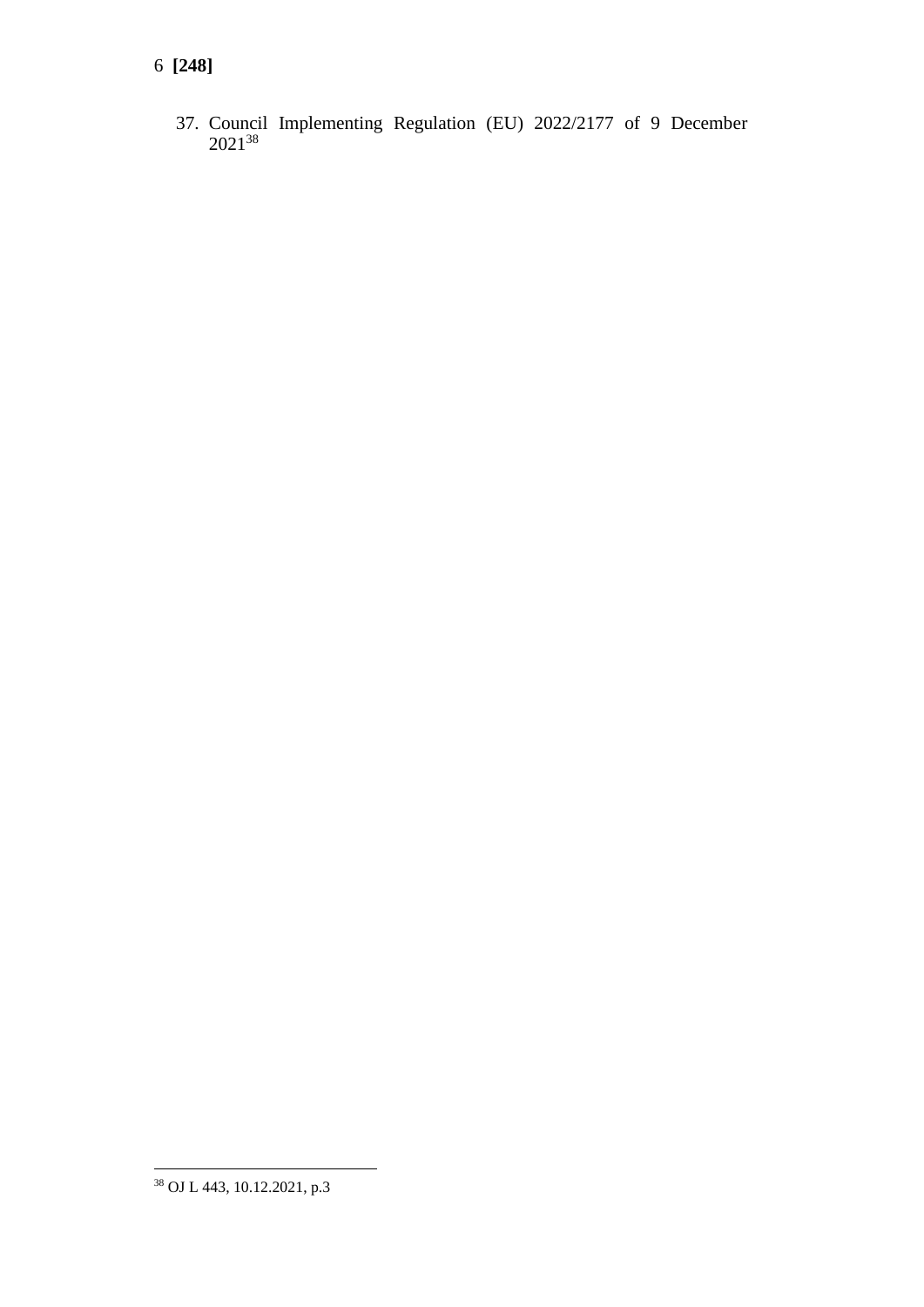## **[248]**

37. Council Implementing Regulation (EU) 2022/2177 of 9 December <sup>38</sup>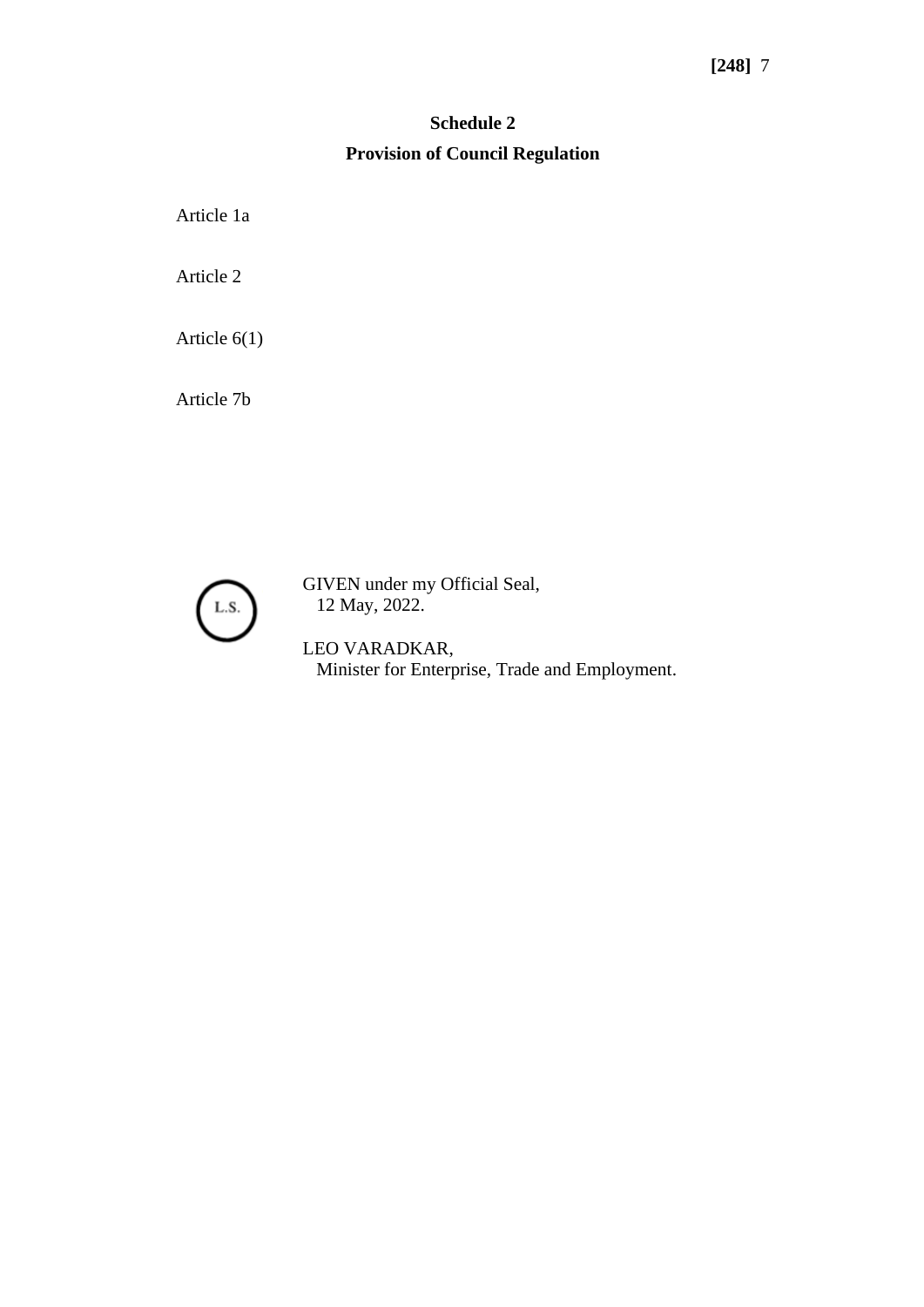### **[248]** 7

# **Schedule 2 Provision of Council Regulation**

Article 1a

Article 2

Article 6(1)

Article 7b



GIVEN under my Official Seal, 12 May, 2022.

LEO VARADKAR, Minister for Enterprise, Trade and Employment.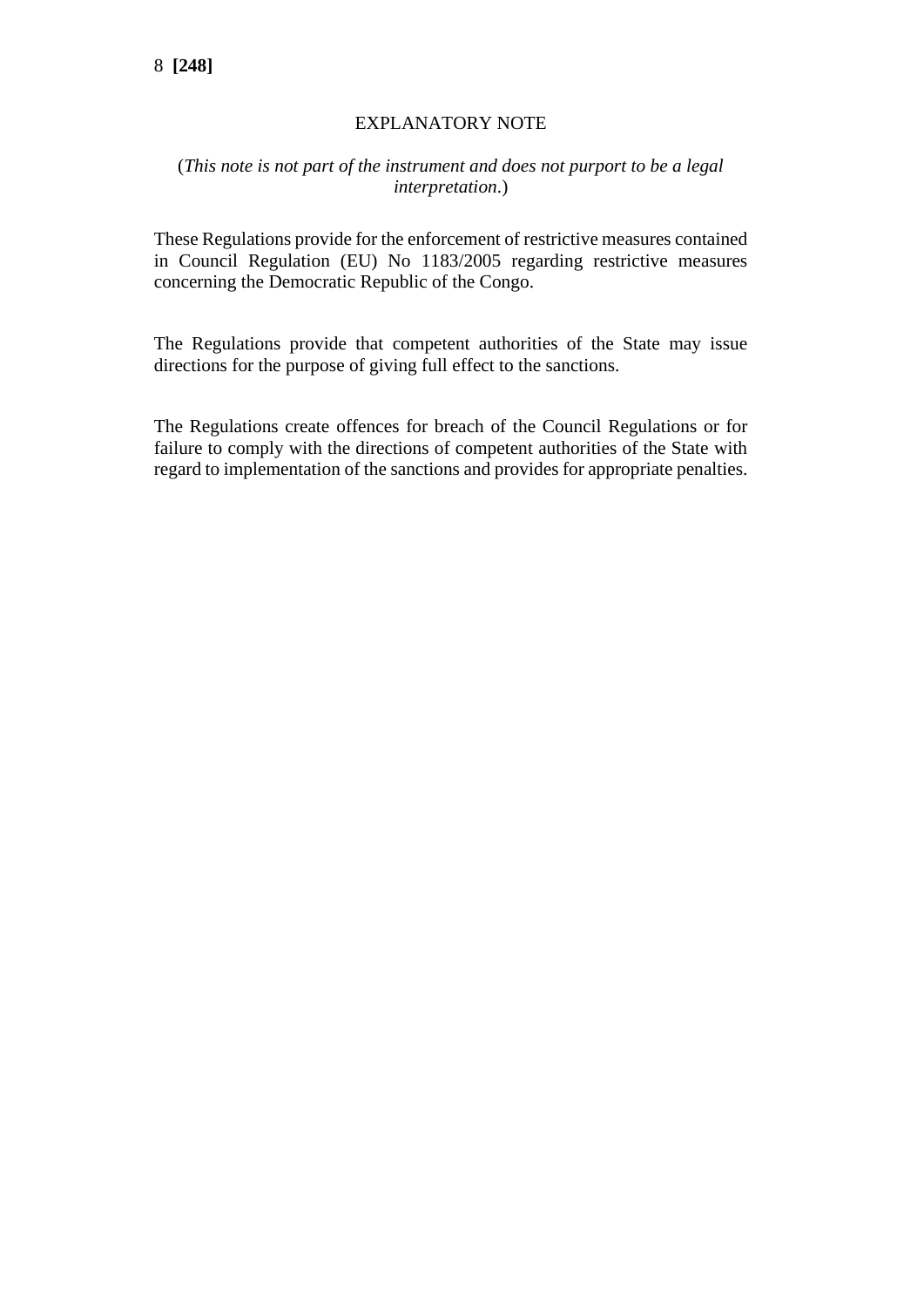### EXPLANATORY NOTE

#### (*This note is not part of the instrument and does not purport to be a legal interpretation*.)

These Regulations provide for the enforcement of restrictive measures contained in Council Regulation (EU) No 1183/2005 regarding restrictive measures concerning the Democratic Republic of the Congo.

The Regulations provide that competent authorities of the State may issue directions for the purpose of giving full effect to the sanctions.

The Regulations create offences for breach of the Council Regulations or for failure to comply with the directions of competent authorities of the State with regard to implementation of the sanctions and provides for appropriate penalties.